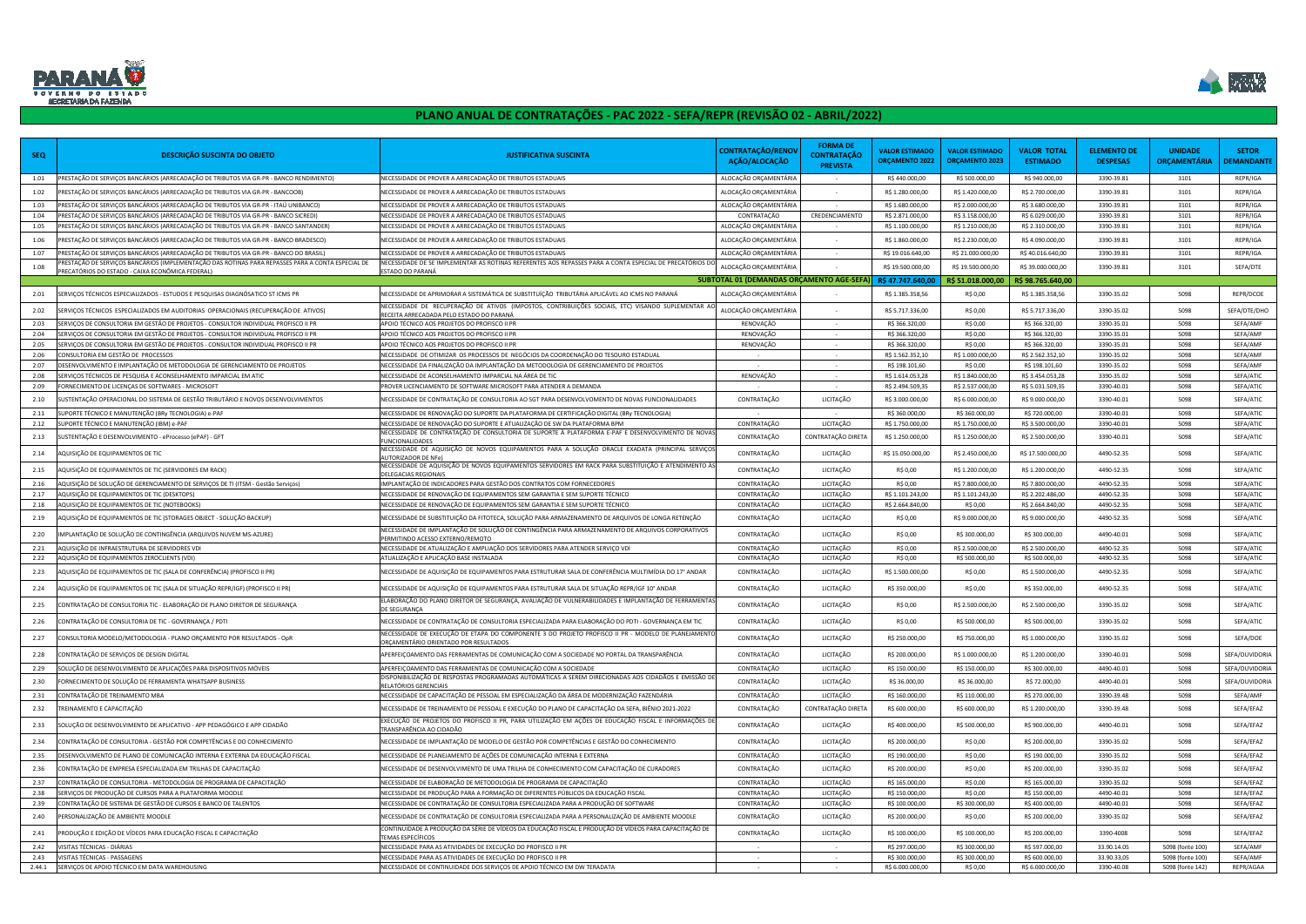| <b>SEQ</b>   | DESCRIÇÃO SUSCINTA DO OBJETO                                                                                                                         | <b>JUSTIFICATIVA SUSCINTA</b>                                                                                                                                                  | <b>CONTRATAÇÃO/RENOV</b><br>AÇÃO/ALOCAÇÃO | <b>FORMA DE</b><br><b>CONTRATAÇÃO</b><br><b>PREVISTA</b> | <b>VALOR ESTIMADO</b><br><b>ORÇAMENTO 2022</b> | <b>VALOR ESTIMADO</b><br><b>ORÇAMENTO 2023</b> | <b>VALOR TOTAL</b><br><b>ESTIMADO</b> | <b>ELEMENTO DE</b><br><b>DESPESAS</b> | <b>UNIDADE</b><br>ORÇAMENTARIA | <b>SETOR</b><br><b>PEMANDANTE</b> |
|--------------|------------------------------------------------------------------------------------------------------------------------------------------------------|--------------------------------------------------------------------------------------------------------------------------------------------------------------------------------|-------------------------------------------|----------------------------------------------------------|------------------------------------------------|------------------------------------------------|---------------------------------------|---------------------------------------|--------------------------------|-----------------------------------|
| 1.01         | 'RESTAÇÃO DE SERVIÇOS BANCÁRIOS (ARRECADAÇÃO DE TRIBUTOS VIA GR-PR - BANCO RENDIMENTO)                                                               | NECESSIDADE DE PROVER A ARRECADAÇÃO DE TRIBUTOS ESTADUAIS                                                                                                                      | ALOCAÇÃO ORÇAMENTÁRIA                     | $\sim$                                                   | R\$440.000,00                                  | R\$ 500.000,00                                 | R\$ 940.000,00                        | 3390-39.81                            | 3101                           | REPR/IGA                          |
| 1.02         | 'RESTAÇÃO DE SERVIÇOS BANCÁRIOS (ARRECADAÇÃO DE TRIBUTOS VIA GR-PR - BANCOOB)                                                                        | NECESSIDADE DE PROVER A ARRECADAÇÃO DE TRIBUTOS ESTADUAIS                                                                                                                      | ALOCAÇÃO ORÇAMENTÁRIA                     |                                                          | R\$ 1.280.000,00                               | R\$ 1.420.000,00                               | R\$ 2.700.000,00                      | 3390-39.81                            | 3101                           | REPR/IGA                          |
| 1.03         | PRESTAÇÃO DE SERVIÇOS BANCÁRIOS (ARRECADAÇÃO DE TRIBUTOS VIA GR-PR - ITAÚ UNIBANCO)                                                                  | NECESSIDADE DE PROVER A ARRECADAÇÃO DE TRIBUTOS ESTADUAIS                                                                                                                      | ALOCAÇÃO ORÇAMENTÁRIA                     |                                                          | R\$ 1.680.000,00                               | R\$ 2.000.000,00                               | R\$ 3.680.000,00                      | 3390-39.81                            | 3101                           | REPR/IGA                          |
| 1.04         | PRESTAÇÃO DE SERVIÇOS BANCÁRIOS (ARRECADAÇÃO DE TRIBUTOS VIA GR-PR - BANCO SICREDI)                                                                  | NECESSIDADE DE PROVER A ARRECADAÇÃO DE TRIBUTOS ESTADUAIS                                                                                                                      | CONTRATAÇÃO                               | CREDENCIAMENTO                                           | R\$ 2.871.000,00                               | R\$ 3.158.000,00                               | R\$ 6.029.000,00                      | 3390-39.81                            | 3101                           | REPR/IGA                          |
| 1.05         | PRESTAÇÃO DE SERVIÇOS BANCÁRIOS (ARRECADAÇÃO DE TRIBUTOS VIA GR-PR - BANCO SANTANDER)                                                                | NECESSIDADE DE PROVER A ARRECADAÇÃO DE TRIBUTOS ESTADUAIS                                                                                                                      | ALOCAÇÃO ORÇAMENTÁRIA                     |                                                          | R\$ 1.100.000,00                               | R\$ 1.210.000,00                               | R\$ 2.310.000,00                      | 3390-39.81                            | 3101                           | REPR/IGA                          |
| 1.06         | RESTAÇÃO DE SERVIÇOS BANCÁRIOS (ARRECADAÇÃO DE TRIBUTOS VIA GR-PR - BANCO BRADESCO)                                                                  | NECESSIDADE DE PROVER A ARRECADAÇÃO DE TRIBUTOS ESTADUAIS                                                                                                                      | ALOCAÇÃO ORÇAMENTÁRIA                     |                                                          | R\$ 1.860.000,00                               | R\$ 2.230.000,00                               | R\$4.090.000,00                       | 3390-39.81                            | 3101                           | REPR/IGA                          |
| 1.07         | PRESTAÇÃO DE SERVIÇOS BANCÁRIOS (ARRECADAÇÃO DE TRIBUTOS VIA GR-PR - BANCO DO BRASIL                                                                 | NECESSIDADE DE PROVER A ARRECADAÇÃO DE TRIBUTOS ESTADUAIS                                                                                                                      | ALOCAÇÃO ORÇAMENTÁRIA                     | $\sim$                                                   | R\$ 19.016.640,00                              | R\$ 21.000.000,00                              | R\$40.016.640,00                      | 3390-39.81                            | 3101                           | REPR/IGA                          |
| 1.08         | RESTAÇÃO DE SERVIÇOS BANCÁRIOS (IMPLEMENTAÇÃO DAS ROTINAS PARA REPASSES PARA A CONTA ESPECIAL DE<br>PRECATÓRIOS DO ESTADO - CAIXA ECONÔMICA FEDERAL) | NECESSIDADE DE SE IMPLEMENTAR AS ROTINAS REFERENTES AOS REPASSES PARA A CONTA ESPECIAL DE PRECATÓRIOS D<br>ESTADO DO PARANÁ                                                    | ALOCAÇÃO ORÇAMENTÁRIA                     |                                                          | R\$ 19.500.000,00                              | R\$ 19.500.000,00                              | R\$ 39.000.000,00                     | 3390-39.81                            | 3101                           | SEFA/DTE                          |
|              |                                                                                                                                                      |                                                                                                                                                                                | SUBTOTAL 01 (DEMANDAS ORÇAMENTO AGE-SEFA  |                                                          | R\$47.747.640,00                               | R\$ 51.018.000,00                              | R\$ 98.765.640,00                     |                                       |                                |                                   |
| 2.01         | SERVIÇOS TÉCNICOS ESPECIALIZADOS - ESTUDOS E PESQUISAS DIAGNÓSATICO ST ICMS PR                                                                       | NECESSIDADE DE APRIMORAR A SISTEMÁTICA DE SUBSTITUÍÇÃO  TRIBUTÁRIA APLICÁVEL AO ICMS NO PARANÁ                                                                                 | ALOCAÇÃO ORÇAMENTÁRIA                     |                                                          | R\$ 1.385.358,56                               | R\$ 0,00                                       | R\$ 1.385.358,56                      | 3390-35.02                            | 5098                           | REPR/DCOE                         |
| 2.02         | SERVIÇOS TÉCNICOS  ESPECIALIZADOS EM AUDITORIAS  OPERACIONAIS (RECUPERAÇÃO DE  ATIVOS)                                                               | NECESSIDADE DE RECUPERAÇÃO DE ATIVOS (IMPOSTOS, CONTRIBUIÇÕES SOCIAIS, ETC) VISANDO SUPLEMENTAR A<br>RECEITA ARRECADADA PELO ESTADO DO PARANÁ                                  | ALOCAÇÃO ORÇAMENTÁRIA                     |                                                          | R\$ 5.717.336,00                               | R\$ 0,00                                       | R\$5.717.336,00                       | 3390-35.02                            | 5098                           | SEFA/DTE/DHO                      |
| 2.03         | SERVIÇOS DE CONSULTORIA EM GESTÃO DE PROJETOS - CONSULTOR INDIVIDUAL PROFISCO II PR                                                                  | APOIO TÉCNICO AOS PROJETOS DO PROFISCO II PR                                                                                                                                   | RENOVAÇÃO                                 |                                                          | R\$ 366.320,00                                 | R\$ 0,00                                       | R\$ 366.320,00                        | 3390-35.01                            | 5098                           | SEFA/AMF                          |
| 2.04         | SERVIÇOS DE CONSULTORIA EM GESTÃO DE PROJETOS - CONSULTOR INDIVIDUAL PROFISCO II PR                                                                  | APOIO TÉCNICO AOS PROJETOS DO PROFISCO II PR                                                                                                                                   | RENOVAÇÃO                                 | $\sim$                                                   | R\$ 366.320,00                                 | R\$ 0,00                                       | R\$ 366.320,00                        | 3390-35.01                            | 5098                           | SEFA/AMF                          |
| 2.05         | SERVIÇOS DE CONSULTORIA EM GESTÃO DE PROJETOS - CONSULTOR INDIVIDUAL PROFISCO II PR                                                                  | APOIO TÉCNICO AOS PROJETOS DO PROFISCO II PR                                                                                                                                   | RENOVAÇÃO                                 |                                                          | R\$ 366.320,00                                 | R\$ 0,00                                       | R\$ 366.320,00                        | 3390-35.01                            | 5098                           | SEFA/AMF                          |
| 2.06         | CONSULTORIA EM GESTÃO DE PROCESSOS                                                                                                                   | NECESSIDADE DE OTIMIZAR OS PROCESSOS DE NEGÓCIOS DA COORDENAÇÃO DO TESOURO ESTADUAL                                                                                            |                                           | $\sim$                                                   | R\$ 1.562.352,10                               | R\$ 1.000.000,00                               | R\$ 2.562.352,10                      | 3390-35.02                            | 5098                           | SEFA/AMF                          |
| 2.07         | DESENVOLVIMENTO E IMPLANTAÇÃO DE METODOLOGIA DE GERENCIAMENTO DE PROJETOS                                                                            | NECESSIDADE DA FINALIZAÇÃO DA IMPLANTAÇÃO DA METODOLOGIA DE GERENCIAMENTO DE PROJETOS                                                                                          |                                           |                                                          | R\$ 198.101,60                                 | R\$ 0,00                                       | R\$ 198.101,60                        | 3390-35.02                            | 5098                           | SEFA/AMF                          |
| 2.08<br>2.09 | SERVIÇOS TÉCNICOS DE PESQUISA E ACONSELHAMENTO IMPARCIAL EM ATIC<br>FORNECIMENTO DE LICENÇAS DE SOFTWARES - MICROSOFT                                | NECESSIDADE DE ACONSELHAMENTO IMPARCIAL NA ÁREA DE TIC<br>PROVER LICENCIAMENTO DE SOFTWARE MICROSOFT PARA ATENDER A DEMANDA                                                    | RENOVAÇÃO                                 | $\sim$                                                   | R\$ 1.614.053,28<br>R\$ 2.494.509,35           | R\$ 1.840.000,00<br>R\$ 2.537.000,00           | R\$ 3.454.053,28<br>R\$ 5.031.509,35  | 3390-35.02<br>3390-40.01              | 5098<br>5098                   | SEFA/ATIC<br>SEFA/ATIC            |
|              |                                                                                                                                                      |                                                                                                                                                                                |                                           |                                                          |                                                |                                                |                                       |                                       |                                |                                   |
| 2.10         | USTENTAÇÃO OPERACIONAL DO SISTEMA DE GESTÃO TRIBUTÁRIO E NOVOS DESENVOLVIMENTOS                                                                      | NECESSIDADE DE CONTRATAÇÃO DE CONSULTORIA AO SGT PARA DESENVOLVOMENTO DE NOVAS FUNCIONALIDADES                                                                                 | CONTRATAÇÃO                               | LICITAÇÃO                                                | R\$ 3.000.000,00                               | R\$ 6.000.000,00                               | R\$9.000.000,00                       | 3390-40.01                            | 5098                           | SEFA/ATIC                         |
| 2.11         | UPORTE TÉCNICO E MANUTENÇÃO (BRy TECNOLOGIA) e-PAF                                                                                                   | NECESSIDADE DE RENOVAÇÃO DO SUPORTE DA PLATAFORMA DE CERTIFICAÇÃO DIGITAL (BRy TECNOLOGIA)                                                                                     |                                           | $\sim$                                                   | R\$ 360.000,00                                 | R\$ 360.000,00                                 | R\$ 720.000,00                        | 3390-40.01                            | 5098                           | SEFA/ATIC                         |
| 2.12         | SUPORTE TÉCNICO E MANUTENÇÃO (IBM) e-PAF                                                                                                             | NECESSIDADE DE RENOVAÇÃO DO SUPORTE E ATUALIZAÇÃO DE SW DA PLATAFORMA BPM<br>NECESSIDADE DE CONTRATAÇÃO DE CONSULTORIA DE SUPORTE À PLATAFORMA E-PAF E DESENVOLVIMENTO DE NOVA | CONTRATAÇÃO                               | LICITAÇÃO                                                | R\$ 1.750.000,00                               | R\$ 1.750.000,00                               | R\$ 3.500.000,00                      | 3390-40.01                            | 5098                           | SEFA/ATIC                         |
| 2.13         | USTENTAÇÃO E DESENVOLVIMENTO - eProcesso (ePAF) - GFT                                                                                                | UNCIONALIDADES                                                                                                                                                                 | CONTRATAÇÃO                               | CONTRATAÇÃO DIRETA                                       | R\$ 1.250.000,00                               | R\$ 1.250.000,00                               | R\$ 2.500.000,00                      | 3390-40.01                            | 5098                           | SEFA/ATIC                         |
| 2.14         | QUISIÇÃO DE EQUIPAMENTOS DE TIC                                                                                                                      | NECESSIDADE DE AQUISIÇÃO DE NOVOS EQUIPAMENTOS PARA A SOLUÇÃO ORACLE EXADATA (PRINCIPAL SERVIÇO<br>UTORIZADOR DE NFe                                                           | CONTRATAÇÃO                               | LICITAÇÃO                                                | R\$ 15.050.000,00                              | R\$ 2.450.000,00                               | R\$ 17.500.000,00                     | 4490-52.35                            | 5098                           | SEFA/ATIC                         |
| 2.15         | QUISIÇÃO DE EQUIPAMENTOS DE TIC (SERVIDORES EM RACK)                                                                                                 | NECESSIDADE DE AQUISIÇÃO DE NOVOS EQUIPAMENTOS SERVIDORES EM RACK PARA SUBSTITUIÇÃO E ATENDIMENTO $\dot{\theta}$<br>ELEGACIAS REGIONAIS                                        | CONTRATAÇÃO                               | LICITAÇÃO                                                | R\$ 0,00                                       | R\$ 1.200.000,00                               | R\$ 1.200.000,00                      | 4490-52.35                            | 5098                           | SEFA/ATIC                         |
| 2.16         | AQUISIÇÃO DE SOLUÇÃO DE GERENCIAMENTO DE SERVIÇOS DE TI (ITSM - Gestão Serviços)                                                                     | IMPLANTAÇÃO DE INDICADORES PARA GESTÃO DOS CONTRATOS COM FORNECEDORES                                                                                                          | CONTRATAÇÃO                               | LICITAÇÃO                                                | R\$ 0,00                                       | R\$ 7.800.000,00                               | R\$ 7.800.000,00                      | 4490-52.35                            | 5098                           | SEFA/ATIC                         |
| 2.17         | AQUISIÇÃO DE EQUIPAMENTOS DE TIC (DESKTOPS)                                                                                                          | VECESSIDADE DE RENOVAÇÃO DE EQUIPAMENTOS SEM GARANTIA E SEM SUPORTE TÉCNICO                                                                                                    | CONTRATAÇÃO                               | LICITAÇÃO                                                | R\$ 1.101.243,00                               | R\$ 1.101.243,00                               | R\$ 2.202.486,00                      | 4490-52.35                            | 5098                           | SEFA/ATIC                         |
| 2.18         | AQUISIÇÃO DE EQUIPAMENTOS DE TIC (NOTEBOOKS)                                                                                                         | VECESSIDADE DE RENOVAÇÃO DE EQUIPAMENTOS SEM GARANTIA E SEM SUPORTE TÉCNICO                                                                                                    | CONTRATAÇÃO                               | LICITAÇÃO                                                | R\$ 2.664.840,00                               | R\$ 0,00                                       | R\$ 2.664.840,00                      | 4490-52.35                            | 5098                           | SEFA/ATIC                         |
| 2.19         | QUISIÇÃO DE EQUIPAMENTOS DE TIC (STORAGES OBJECT - SOLUÇÃO BACKUP)                                                                                   | NECESSIDADE DE SUBSTITUIÇÃO DA FITOTECA, SOLUÇÃO PARA ARMAZENAMENTO DE ARQUIVOS DE LONGA RETENÇÃO                                                                              | CONTRATAÇÃO                               | LICITAÇÃO                                                | R\$ 0,00                                       | R\$9.000.000,00                                | R\$ 9.000.000,00                      | 4490-52.35                            | 5098                           | SEFA/ATIC                         |
| 2.20         | MPLANTAÇÃO DE SOLUÇÃO DE CONTINGÊNCIA (ARQUIVOS NUVEM MS-AZURE)                                                                                      | NECESSIDADE DE IMPLANTAÇÃO DE SOLUÇÃO DE CONTINGÊNCIA PARA ARMAZENAMENTO DE ARQUIVOS CORPORATIVOS<br>PERMITINDO ACESSO EXTERNO/REMOTO                                          | CONTRATAÇÃO                               | LICITAÇÃO                                                | R\$ 0,00                                       | R\$ 300.000,00                                 | R\$ 300.000,00                        | 4490-40.01                            | 5098                           | SEFA/ATIC                         |
| 2.21         | AQUISIÇÃO DE INFRAESTRUTURA DE SERVIDORES VDI                                                                                                        | NECESSIDADE DE ATUALIZAÇÃO E AMPLIAÇÃO DOS SERVIDORES PARA ATENDER SERVIÇO VDI                                                                                                 | CONTRATAÇÃO                               | LICITAÇÃO                                                | R\$ 0,00                                       | R\$ 2.500.000,00                               | R\$ 2.500.000,00                      | 4490-52.35                            | 5098                           | SEFA/ATIC                         |
| 2.22         | AQUISIÇÃO DE EQUIPAMENTOS ZEROCLIENTS (VDI)                                                                                                          | \TUALIZAÇÃO E APLICAÇÃO BASE INSTALADA                                                                                                                                         | CONTRATAÇÃO                               | LICITAÇÃO                                                | R\$ 0,00                                       | R\$ 500.000,00                                 | R\$ 500.000,00                        | 4490-52.35                            | 5098                           | SEFA/ATIC                         |
| 2.23         | AQUISIÇÃO DE EQUIPAMENTOS DE TIC (SALA DE CONFERÊNCIA) (PROFISCO II PR)                                                                              | NECESSIDADE DE AQUISIÇÃO DE EQUIPAMENTOS PARA ESTRUTURAR SALA DE CONFERÊNCIA MULTIMÍDIA DO 17° ANDAR                                                                           | CONTRATAÇÃO                               | LICITAÇÃO                                                | R\$ 1.500.000,00                               | R\$ 0,00                                       | R\$ 1.500.000,00                      | 4490-52.35                            | 5098                           | SEFA/ATIC                         |
| 2.24         | QUISIÇÃO DE EQUIPAMENTOS DE TIC (SALA DE SITUAÇÃO REPR/IGF) (PROFISCO II PR)                                                                         | NECESSIDADE DE AQUISIÇÃO DE EQUIPAMENTOS PARA ESTRUTURAR SALA DE SITUAÇÃO REPR/IGF 10° ANDAR                                                                                   | CONTRATAÇÃO                               | LICITAÇÃO                                                | R\$ 350.000,00                                 | R\$ 0,00                                       | R\$ 350.000,00                        | 4490-52.35                            | 5098                           | SEFA/ATIC                         |
| 2.25         | CONTRATAÇÃO DE CONSULTORIA TIC - ELABORAÇÃO DE PLANO DIRETOR DE SEGURANÇA                                                                            | LABORAÇÃO DO PLANO DIRETOR DE SEGURANÇA, AVALIAÇÃO DE VULNERABILIDADES E IMPLANTAÇÃO DE FERRAMENTA:<br><b>E SEGURANÇA</b>                                                      | CONTRATAÇÃO                               | LICITAÇÃO                                                | R\$ 0,00                                       | R\$ 2.500.000,00                               | R\$ 2.500.000,00                      | 3390-35.02                            | 5098                           | SEFA/ATIC                         |
| 2.26         | CONTRATAÇÃO DE CONSULTORIA DE TIC - GOVERNANÇA / PDTI                                                                                                | NECESSIDADE DE CONTRATAÇÃO DE CONSULTORIA ESPECIALIZADA PARA ELABORAÇÃO DO PDTI - GOVERNANÇA EM TIC                                                                            | CONTRATAÇÃO                               | LICITAÇÃO                                                | R\$ 0,00                                       | R\$ 500.000,00                                 | R\$ 500.000,00                        | 3390-35.02                            | 5098                           | SEFA/ATIC                         |
| 2.27         | CONSULTORIA MODELO/METODOLOGIA - PLANO ORÇAMENTO POR RESULTADOS - OpR                                                                                | NECESSIDADE DE EXECUÇÃO DE ETAPA DO COMPONENTE 3 DO PROJETO PROFISCO II PR - MODELO DE PLANEJAMENTO<br>)RCAMENTÁRIO ORIENTADO POR RESULTADOS                                   | CONTRATAÇÃO                               | LICITAÇÃO                                                | R\$ 250.000,00                                 | R\$ 750.000,00                                 | R\$ 1.000.000,00                      | 3390-35.02                            | 5098                           | SEFA/DOE                          |
| 2.28         | CONTRATAÇÃO DE SERVIÇOS DE DESIGN DIGITAL                                                                                                            | APERFEIÇOAMENTO DAS FERRAMENTAS DE COMUNICAÇÃO COM A SOCIEDADE NO PORTAL DA TRANSPARÊNCIA                                                                                      | CONTRATAÇÃO                               | LICITAÇÃO                                                | R\$ 200.000,00                                 | R\$ 1.000.000,00                               | R\$ 1.200.000,00                      | 3390-40.01                            | 5098                           | SEFA/OUVIDORIA                    |
| 2.29         | SOLUÇÃO DE DESENVOLVIMENTO DE APLICAÇÕES PARA DISPOSITIVOS MÓVEIS                                                                                    | APERFEICOAMENTO DAS FERRAMENTAS DE COMUNICAÇÃO COM A SOCIEDADE                                                                                                                 | CONTRATAÇÃO                               | LICITAÇÃO                                                | R\$ 150.000,00                                 | R\$ 150.000,00                                 | R\$ 300.000,00                        | 4490-40.01                            | 5098                           | SEFA/OUVIDORIA                    |
| 2.30         | ORNECIMENTO DE SOLUÇÃO DE FERRAMENTA WHATSAPP BUSINESS                                                                                               | DISPONIBILIZAÇÃO DE RESPOSTAS PROGRAMADAS AUTOMÁTICAS A SEREM DIRECIONADAS AOS CIDADÃOS E EMISSÃO D<br>ELATÓRIOS GERENCIAIS:                                                   | CONTRATAÇÃO                               | LICITAÇÃO                                                | R\$ 36.000,00                                  | R\$36.000,00                                   | R\$ 72.000,00                         | 4490-40.01                            | 5098                           | SEFA/OUVIDORIA                    |
| 2.31         | CONTRATAÇÃO DE TREINAMENTO MBA                                                                                                                       | NECESSIDADE DE CAPACITAÇÃO DE PESSOAL EM ESPECIALIZAÇÃO DA ÁREA DE MODERNIZAÇÃO FAZENDÁRIA                                                                                     | CONTRATAÇÃO                               | LICITAÇÃO                                                | R\$ 160.000,00                                 | R\$ 110.000,00                                 | R\$ 270.000,00                        | 3390-39.48                            | 5098                           | SEFA/AMF                          |
| 2.32         | TREINAMENTO E CAPACITAÇÃO                                                                                                                            | NECESSIDADE DE TREINAMENTO DE PESSOAL E EXECUÇÃO DO PLANO DE CAPACITAÇÃO DA SEFA, BIÊNIO 2021-2022                                                                             | CONTRATAÇÃO                               | CONTRATAÇÃO DIRETA                                       | R\$ 600.000,00                                 | R\$ 600.000,00                                 | R\$ 1.200.000,00                      | 3390-39.48                            | 5098                           | SEFA/EFAZ                         |
| 2.33         | SOLUÇÃO DE DESENVOLVIMENTO DE APLICATIVO - APP PEDAGÓGICO E APP CIDADÃO                                                                              | EXECUÇÃO DE PROJETOS DO PROFISCO II PR, PARA UTILIZAÇÃO EM AÇÕES DE EDUCAÇÃO FISCAL E INFORMAÇÕES DE<br>TRANSPARÊNCIA AO CIDADÃO                                               | CONTRATAÇÃO                               | LICITAÇÃO                                                | R\$400.000,00                                  | R\$ 500.000,00                                 | R\$ 900.000,00                        | 4490-40.01                            | 5098                           | SEFA/EFAZ                         |
| 2.34         | CONTRATAÇÃO DE CONSULTORIA - GESTÃO POR COMPETÊNCIAS E DO CONHECIMENTO                                                                               | NECESSIDADE DE IMPLANTAÇÃO DE MODELO DE GESTÃO POR COMPETÊNCIAS E GESTÃO DO CONHECIMENTO                                                                                       | CONTRATAÇÃO                               | LICITAÇÃO                                                | R\$ 200.000,00                                 | R\$ 0,00                                       | R\$ 200.000,00                        | 3390-35.02                            | 5098                           | SEFA/EFAZ                         |
| 2.35         | DESENVOLVIMENTO DE PLANO DE COMUNICAÇÃO INTERNA E EXTERNA DA EDUCAÇÃO FISCAL                                                                         | NECESSIDADE DE PLANEJAMENTO DE AÇÕES DE COMUNICAÇÃO INTERNA E EXTERNA                                                                                                          | CONTRATAÇÃO                               | LICITAÇÃO                                                | R\$ 190.000,00                                 | R\$ 0,00                                       | R\$ 190.000,00                        | 3390-35.02                            | 5098                           | SEFA/EFAZ                         |
| 2.36         | CONTRATAÇÃO DE EMPRESA ESPECIALIZADA EM TRILHAS DE CAPACITAÇÃO                                                                                       | NECESSIDADE DE DESENVOLVIMENTO DE UMA TRILHA DE CONHECIMENTO COM CAPACITAÇÃO DE CURADORES                                                                                      | CONTRATAÇÃO                               | LICITAÇÃO                                                | R\$ 200.000,00                                 | R\$ 0,00                                       | R\$ 200.000,00                        | 3390-35.02                            | 5098                           | SEFA/EFAZ                         |
| 2.37         | CONTRATAÇÃO DE CONSULTORIA - METODOLOGIA DE PROGRAMA DE CAPACITAÇÃO                                                                                  | NECESSIDADE DE ELABORAÇÃO DE METODOLOGIA DE PROGRAMA DE CAPACITAÇÃO                                                                                                            | CONTRATAÇÃO                               | LICITAÇÃO                                                | R\$ 165.000,00                                 | R\$ 0,00                                       | R\$ 165.000,00                        | 3390-35.02                            | 5098                           | SEFA/EFAZ                         |
| 2.38         | SERVIÇOS DE PRODUÇÃO DE CURSOS PARA A PLATAFORMA MOODLE                                                                                              | NECESSIDADE DE PRODUÇÃO PARA A FORMAÇÃO DE DIFERENTES PÚBLICOS DA EDUCAÇÃO FISCAL                                                                                              | CONTRATAÇÃO                               | LICITAÇÃO                                                | R\$ 150.000,00                                 | R\$ 0,00                                       | R\$ 150.000,00                        | 4490-40.01                            | 5098                           | SEFA/EFAZ                         |
| 2.39         | CONTRATAÇÃO DE SISTEMA DE GESTÃO DE CURSOS E BANCO DE TALENTOS                                                                                       | VECESSIDADE DE CONTRATAÇÃO DE CONSULTORIA ESPECIALIZADA PARA A PRODUÇÃO DE SOFTWARE                                                                                            | CONTRATAÇÃO                               | LICITAÇÃO                                                | R\$ 100.000,00                                 | R\$ 300.000,00                                 | R\$400.000,00                         | 4490-40.01                            | 5098                           | SEFA/EFAZ                         |
| 2.40         | PERSONALIZAÇÃO DE AMBIENTE MOODLE                                                                                                                    | NECESSIDADE DE CONTRATAÇÃO DE CONSULTORIA ESPECIALIZADA PARA A PERSONALIZAÇÃO DE AMBIENTE MOODLE                                                                               | CONTRATAÇÃO                               | LICITAÇÃO                                                | R\$ 200.000,00                                 | R\$ 0,00                                       | R\$ 200.000,00                        | 3390-35.02                            | 5098                           | SEFA/EFAZ                         |
| 2.41         | PRODUÇÃO E EDIÇÃO DE VÍDEOS PARA EDUCAÇÃO FISCAL E CAPACITAÇÃO                                                                                       | CONTINUIDADE À PRODUÇÃO DA SÉRIE DE VÍDEOS DA EDUCAÇÃO FISCAL E PRODUÇÃO DE VÍDEOS PARA CAPACITAÇÃO DE<br>EMAS ESPECÍFICOS                                                     | CONTRATAÇÃO                               | LICITAÇÃO                                                | R\$ 100.000,00                                 | R\$ 100.000,00                                 | R\$ 200.000,00                        | 3390-4008                             | 5098                           | SEFA/EFAZ                         |
| 2.42         | VISITAS TÉCNICAS - DIÁRIAS                                                                                                                           | VECESSIDADE PARA AS ATIVIDADES DE EXECUÇÃO DO PROFISCO II PR                                                                                                                   | $\sim$                                    | $\sim$ 100 $\pm$                                         | R\$ 297.000,00                                 | R\$ 300.000,00                                 | R\$ 597.000,00                        | 33.90.14.05                           | 5098 (fonte 100)               | SEFA/AMF                          |
| 2.43         | VISITAS TÉCNICAS - PASSAGENS                                                                                                                         | NECESSIDADE PARA AS ATIVIDADES DE EXECUÇÃO DO PROFISCO II PR                                                                                                                   | $\sim$                                    | $\sim$                                                   | R\$ 300.000,00                                 | R\$ 300.000,00                                 | R\$ 600.000,00                        | 33.90.33,05                           | 5098 (fonte 100)               | SEFA/AMF                          |
| 2.44.1       | SERVIÇOS DE APOIO TÉCNICO EM DATA WAREHOUSING                                                                                                        | NECESSIDADE DE CONTINUIDADE DOS SERVIÇOS DE APOIO TÉCNICO EM DW TERADATA                                                                                                       | $\sim$                                    | $\sim$                                                   | R\$ 6.000.000,00                               | R\$ 0,00                                       | R\$ 6.000.000,00                      | 3390-40.08                            | 5098 (fonte 142)               | REPR/AGAA                         |





## **PLANO ANUAL DE CONTRATAÇÕES - PAC 2022 - SEFA/REPR (REVISÃO 02 - ABRIL/2022)**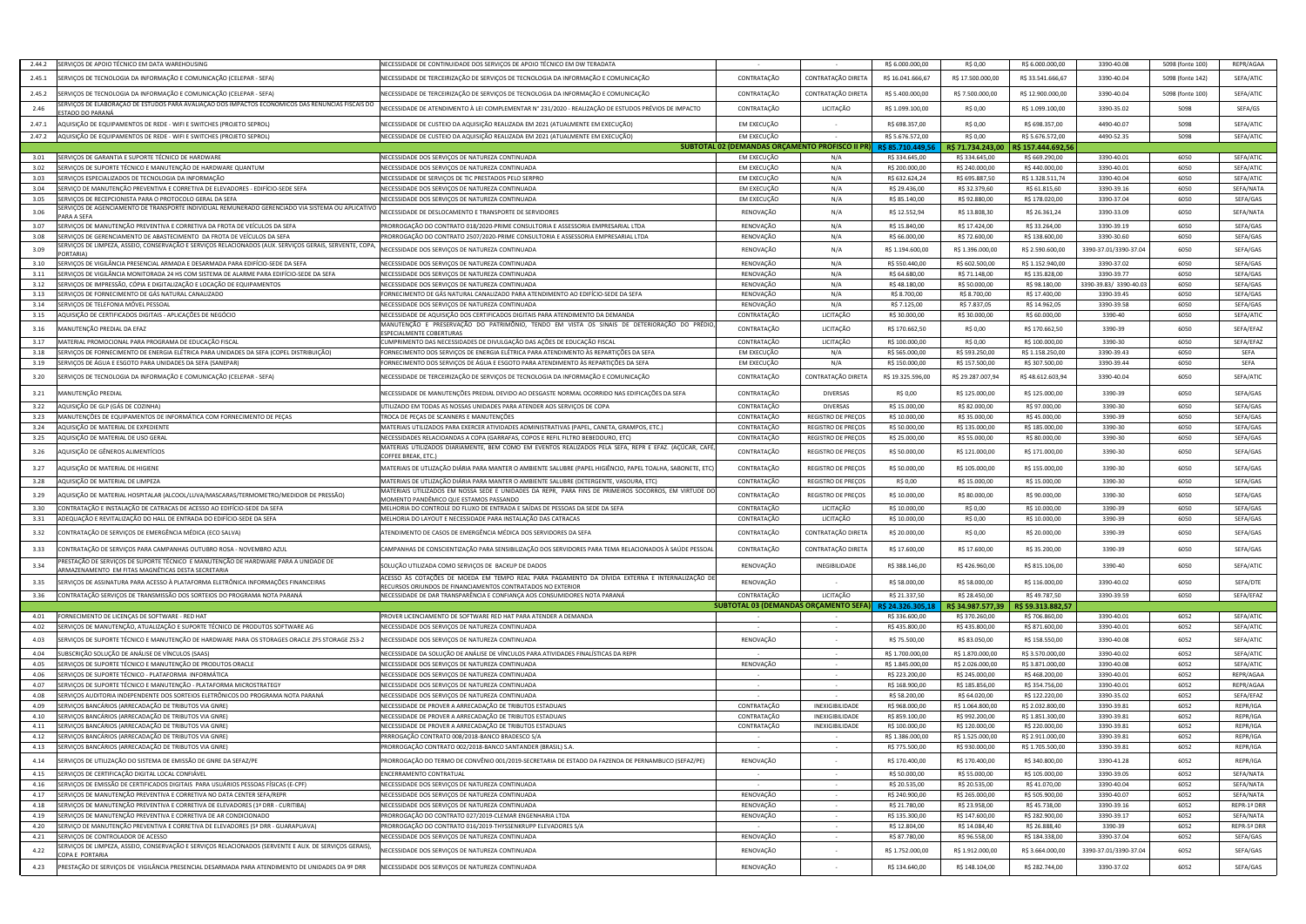| 2.44.2<br>SERVIÇOS DE APOIO TÉCNICO EM DATA WAREHOUSING                                                                                                | NECESSIDADE DE CONTINUIDADE DOS SERVIÇOS DE APOIO TÉCNICO EM DW TERADATA                                                                        |                            |                                                | R\$ 6.000.000,00                   | R\$ 0,00                           | R\$ 6.000.000,00                   | 3390-40.08               | 5098 (fonte 100) | REPR/AGAA              |
|--------------------------------------------------------------------------------------------------------------------------------------------------------|-------------------------------------------------------------------------------------------------------------------------------------------------|----------------------------|------------------------------------------------|------------------------------------|------------------------------------|------------------------------------|--------------------------|------------------|------------------------|
| 2.45.1<br>ERVIÇOS DE TECNOLOGIA DA INFORMAÇÃO E COMUNICAÇÃO (CELEPAR - SEFA)                                                                           | NECESSIDADE DE TERCEIRIZAÇÃO DE SERVIÇOS DE TECNOLOGIA DA INFORMAÇÃO E COMUNICAÇÃO                                                              | CONTRATAÇÃO                | CONTRATAÇÃO DIRET                              | R\$ 16.041.666,67                  | R\$ 17.500.000,00                  | R\$ 33.541.666,67                  | 3390-40.04               | 5098 (fonte 142) | SEFA/ATIC              |
| SERVIÇOS DE TECNOLOGIA DA INFORMAÇÃO E COMUNICAÇÃO (CELEPAR - SEFA)<br>2.45.2                                                                          | NECESSIDADE DE TERCEIRIZAÇÃO DE SERVIÇOS DE TECNOLOGIA DA INFORMAÇÃO E COMUNICAÇÃO                                                              | CONTRATAÇÃO                | CONTRATAÇÃO DIRET/                             | R\$ 5.400.000,00                   | R\$ 7.500.000,00                   | R\$ 12.900.000,00                  | 3390-40.04               | 5098 (fonte 100) | SEFA/ATIC              |
| ERVIÇOS DE ELABORAÇÃO DE ESTUDOS PARA AVALIAÇÃO DOS IMPACTOS ECONÖMICOS DAS RENÚNCIAS FISCAIS DO                                                       |                                                                                                                                                 |                            |                                                |                                    |                                    |                                    |                          |                  |                        |
| 2.46<br><u>STADO DO PARANÁ</u>                                                                                                                         | NECESSIDADE DE ATENDIMENTO À LEI COMPLEMENTAR N° 231/2020 - REALIZAÇÃO DE ESTUDOS PRÉVIOS DE IMPACTO                                            | CONTRATAÇÃO                | LICITAÇÃO                                      | R\$ 1.099.100,00                   | R\$ 0,00                           | R\$ 1.099.100,00                   | 3390-35.02               | 5098             | SEFA/GS                |
| 2.47.1<br>AQUISIÇÃO DE EQUIPAMENTOS DE REDE - WIFI E SWITCHES (PROJETO SEPROL)                                                                         | NECESSIDADE DE CUSTEIO DA AQUISIÇÃO REALIZADA EM 2021 (ATUALMENTE EM EXECUÇÃO)                                                                  | EM EXECUÇÃO                |                                                | R\$ 698.357,00                     | R\$ 0,00                           | R\$ 698.357,00                     | 4490-40.07               | 5098             | SEFA/ATIC              |
| AQUISIÇÃO DE EQUIPAMENTOS DE REDE - WIFI E SWITCHES (PROJETO SEPROL)<br>2.47.2                                                                         | NECESSIDADE DE CUSTEIO DA AQUISIÇÃO REALIZADA EM 2021 (ATUALMENTE EM EXECUÇÃO)                                                                  | EM EXECUÇÃO                |                                                | R\$ 5.676.572,00                   | R\$ 0,00                           | R\$ 5.676.572,00                   | 4490-52.35               | 5098             | SEFA/ATIC              |
|                                                                                                                                                        |                                                                                                                                                 |                            | SUBTOTAL 02 (DEMANDAS ORÇAMENTO PROFISCO II PR | R\$85.710.449,5                    | R\$ 71.734.243,00                  | R\$ 157.444.692,56                 |                          |                  |                        |
| SERVIÇOS DE GARANTIA E SUPORTE TÉCNICO DE HARDWARE<br>3.01<br>SERVIÇOS DE SUPORTE TÉCNICO E MANUTENÇÃO DE HARDWARE QUANTUM<br>3.02                     | NECESSIDADE DOS SERVIÇOS DE NATUREZA CONTINUADA<br>NECESSIDADE DOS SERVIÇOS DE NATUREZA CONTINUADA                                              | EM EXECUÇÃO<br>EM EXECUÇÃO | N/A<br>N/A                                     | R\$ 334.645,00<br>R\$ 200.000,00   | R\$ 334.645,00<br>R\$ 240.000,00   | R\$ 669.290,00<br>R\$440.000,00    | 3390-40.01<br>3390-40.01 | 6050<br>6050     | SEFA/ATIC<br>SEFA/ATIC |
| 3.03<br>SERVIÇOS ESPECIALIZADOS DE TECNOLOGIA DA INFORMAÇÃO                                                                                            | NECESSIDADE DE SERVICOS DE TIC PRESTADOS PELO SERPRO                                                                                            | EM EXECUÇÃO                | N/A                                            | R\$ 632.624,24                     | R\$ 695.887,50                     | R\$ 1.328.511,74                   | 3390-40.04               | 6050             | SEFA/ATIC              |
| ERVIÇO DE MANUTENÇÃO PREVENTIVA E CORRETIVA DE ELEVADORES - EDIFÍCIO-SEDE SEFA<br>3.04                                                                 | NECESSIDADE DOS SERVIÇOS DE NATUREZA CONTINUADA                                                                                                 | EM EXECUÇÃO                | N/A                                            | R\$ 29.436,00                      | R\$ 32.379,60                      | R\$ 61.815,60                      | 3390-39.16               | 6050             | SEFA/NATA              |
| SERVIÇOS DE RECEPCIONISTA PARA O PROTOCOLO GERAL DA SEFA<br>3.05                                                                                       | NECESSIDADE DOS SERVIÇOS DE NATUREZA CONTINUADA                                                                                                 | EM EXECUÇÃO                | N/A                                            | R\$ 85.140,00                      | R\$ 92.880,00                      | R\$ 178.020,00                     | 3390-37.04               | 6050             | SEFA/GAS               |
| ERVIÇOS DE AGENCIAMENTO DE TRANSPORTE INDIVIDUAL REMUNERADO GERENCIADO VIA SISTEMA OU APLICATIVO<br>3.06<br>ARA A SEFA                                 | NECESSIDADE DE DESLOCAMENTO E TRANSPORTE DE SERVIDORES                                                                                          | RENOVAÇÃO                  | N/A                                            | R\$ 12.552,94                      | R\$ 13.808,30                      | R\$ 26.361,24                      | 3390-33.09               | 6050             | SEFA/NATA              |
| SERVIÇOS DE MANUTENÇÃO PREVENTIVA E CORRETIVA DA FROTA DE VEÍCULOS DA SEFA<br>3.07                                                                     | PRORROGAÇÃO DO CONTRATO 018/2020-PRIME CONSULTORIA E ASSESSORIA EMPRESARIAL LTDA                                                                | RENOVAÇÃO                  | N/A                                            | R\$ 15.840,00                      | R\$ 17.424,00                      | R\$ 33.264,00                      | 3390-39.19               | 6050             | SEFA/GAS               |
| 3.08<br>SERVIÇOS DE GERENCIAMENTO DE ABASTECIMENTO DA FROTA DE VEÍCULOS DA SEFA                                                                        | PRORROGAÇÃO DO CONTRATO 2507/2020-PRIME CONSULTORIA E ASSESSORIA EMPRESARIAL LTDA                                                               | RENOVAÇÃO                  | N/A                                            | R\$ 66.000,00                      | R\$ 72.600,00                      | R\$ 138.600,00                     | 3390-30.60               | 6050             | SEFA/GAS               |
| ERVIÇOS DE LIMPEZA, ASSEIO, CONSERVAÇÃO E SERVIÇOS RELACIONADOS (AUX. SERVIÇOS GERAIS, SERVENTE, COPA<br>3.09<br><b>ORTARIA</b>                        | NECESSIDADE DOS SERVIÇOS DE NATUREZA CONTINUADA                                                                                                 | RENOVAÇÃO                  | N/A                                            | R\$ 1.194.600,00                   | R\$ 1.396.000,00                   | R\$ 2.590.600,00                   | 3390-37.01/3390-37.04    | 6050             | SEFA/GAS               |
| SERVIÇOS DE VIGILÂNCIA PRESENCIAL ARMADA E DESARMADA PARA EDIFÍCIO-SEDE DA SEFA<br>3.10                                                                | NECESSIDADE DOS SERVIÇOS DE NATUREZA CONTINUADA                                                                                                 | RENOVAÇÃO                  | N/A                                            | R\$ 550.440,00                     | R\$ 602.500,00                     | R\$ 1.152.940,00                   | 3390-37.02               | 6050             | SEFA/GAS               |
| ERVIÇOS DE VIGILÂNCIA MONITORADA 24 HS COM SISTEMA DE ALARME PARA EDIFÍCIO-SEDE DA SEFA<br>3.11                                                        | NECESSIDADE DOS SERVIÇOS DE NATUREZA CONTINUADA                                                                                                 | RENOVAÇÃO                  | N/A                                            | R\$ 64.680,00                      | R\$ 71.148,00                      | R\$ 135.828,00                     | 3390-39.77               | 6050             | SEFA/GAS               |
| 3.12<br>ERVIÇOS DE IMPRESSÃO, CÓPIA E DIGITALIZAÇÃO E LOCAÇÃO DE EQUIPAMENTOS                                                                          | NECESSIDADE DOS SERVIÇOS DE NATUREZA CONTINUADA                                                                                                 | RENOVAÇÃO                  | N/A                                            | R\$48.180,00                       | R\$ 50.000,00                      | R\$98.180,00                       | 3390-39.83/ 3390-40.03   | 6050             | SEFA/GAS               |
| SERVIÇOS DE FORNECIMENTO DE GÁS NATURAL CANALIZADO<br>3.13                                                                                             | FORNECIMENTO DE GÁS NATURAL CANALIZADO PARA ATENDIMENTO AO EDIFÍCIO-SEDE DA SEFA                                                                | RENOVAÇÃO                  | N/A                                            | R\$ 8.700,00                       | R\$ 8.700,00                       | R\$ 17.400,00                      | 3390-39.45               | 6050             | SEFA/GAS               |
| SERVIÇOS DE TELEFONIA MÓVEL PESSOAL<br>3.14                                                                                                            | NECESSIDADE DOS SERVIÇOS DE NATUREZA CONTINUADA                                                                                                 | RENOVAÇÃO                  | N/A                                            | R\$ 7.125,00                       | R\$ 7.837,05                       | R\$ 14.962,05                      | 3390-39.58               | 6050             | SEFA/GAS               |
| 3.15<br>QUISIÇÃO DE CERTIFICADOS DIGITAIS - APLICAÇÕES DE NEGÓCIO                                                                                      | NECESSIDADE DE AQUISIÇÃO DOS CERTIFICADOS DIGITAIS PARA ATENDIMENTO DA DEMANDA                                                                  | CONTRATAÇÃO                | LICITAÇÃO                                      | R\$ 30.000,00                      | R\$ 30.000,00                      | R\$ 60.000,00                      | 3390-40                  | 6050             | SEFA/ATIC              |
| 3.16<br>IANUTENÇÃO PREDIAL DA EFAZ                                                                                                                     | MANUTENÇÃO E PRESERVAÇÃO DO PATRIMÔNIO, TENDO EM VISTA OS SINAIS DE DETERIORAÇÃO DO PRÉDIO,<br>SPECIALMENTE COBERTURAS                          | CONTRATAÇÃO                | LICITAÇÃO                                      | R\$ 170.662,50                     | R\$ 0,00                           | R\$ 170.662,50                     | 3390-39                  | 6050             | SEFA/EFAZ              |
| 3.17<br>MATERIAL PROMOCIONAL PARA PROGRAMA DE EDUCAÇÃO FISCAL                                                                                          | CUMPRIMENTO DAS NECESSIDADES DE DIVULGAÇÃO DAS AÇÕES DE EDUCAÇÃO FISCAI                                                                         | CONTRATAÇÃO                | LICITAÇÃO                                      | R\$ 100.000,00                     | R\$ 0,00                           | R\$ 100.000,00                     | 3390-30                  | 6050             | SEFA/EFAZ              |
| ERVIÇOS DE FORNECIMENTO DE ENERGIA ELÉTRICA PARA UNIDADES DA SEFA (COPEL DISTRIBUIÇÃO)<br>3.18                                                         | ORNECIMENTO DOS SERVIÇOS DE ENERGIA ELÉTRICA PARA ATENDIMENTO ÀS REPARTIÇÕES DA SEFA                                                            | EM EXECUÇÃO                | N/A                                            | R\$ 565.000,00                     | R\$ 593.250,00                     | R\$ 1.158.250,00                   | 3390-39.43               | 6050             | SEFA                   |
| 3.19<br>ERVIÇOS DE ÁGUA E ESGOTO PARA UNIDADES DA SEFA (SANEPAR                                                                                        | ORNECIMENTO DOS SERVIÇOS DE ÁGUA E ESGOTO PARA ATENDIMENTO ÀS REPARTIÇÕES DA SEFA:                                                              | EM EXECUÇÃO                | N/A                                            | R\$ 150.000,00                     | R\$ 157.500,00                     | R\$ 307.500,00                     | 3390-39.44               | 6050             | SEFA                   |
| ERVIÇOS DE TECNOLOGIA DA INFORMAÇÃO E COMUNICAÇÃO (CELEPAR - SEFA)<br>3.20                                                                             | NECESSIDADE DE TERCEIRIZAÇÃO DE SERVIÇOS DE TECNOLOGIA DA INFORMAÇÃO E COMUNICAÇÃO                                                              | CONTRATAÇÃO                | CONTRATAÇÃO DIRET.                             | R\$ 19.325.596,00                  | R\$ 29.287.007,94                  | R\$48.612.603,94                   | 3390-40.04               | 6050             | SEFA/ATIC              |
| MANUTENÇÃO PREDIAL<br>3.21                                                                                                                             | IECESSIDADE DE MANUTENÇÕES PREDIAL DEVIDO AO DESGASTE NORMAL OCORRIDO NAS EDIFICAÇÕES DA SEFA                                                   | CONTRATAÇÃO                | <b>DIVERSAS</b>                                | R\$ 0,00                           | R\$ 125.000,00                     | R\$ 125.000,00                     | 3390-39                  | 6050             | SEFA/GAS               |
| AQUISIÇÃO DE GLP (GÁS DE COZINHA)<br>3.22                                                                                                              | UTILIZADO EM TODAS AS NOSSAS UNIDADES PARA ATENDER AOS SERVIÇOS DE COPA                                                                         | CONTRATAÇÃO                | <b>DIVERSAS</b>                                | R\$ 15.000,00                      | R\$ 82.000,00                      | R\$ 97.000,00                      | 3390-30                  | 6050             | SEFA/GAS               |
| MANUTENÇÕES DE EQUIPAMENTOS DE INFORMÁTICA COM FORNECIMENTO DE PEÇAS<br>3.23                                                                           | TROCA DE PEÇAS DE SCANNERS E MANUTENÇÕES                                                                                                        | CONTRATAÇÃO                | <b>REGISTRO DE PREÇOS</b>                      | R\$ 10.000,00                      | R\$ 35.000,00                      | R\$45.000,00                       | 3390-39                  | 6050             | SEFA/GAS               |
| 3.24<br>AQUISIÇÃO DE MATERIAL DE EXPEDIENTI                                                                                                            | MATERIAIS UTILIZADOS PARA EXERCER ATIVIDADES ADMINISTRATIVAS (PAPEL, CANETA, GRAMPOS, ETC.)                                                     | CONTRATAÇÃO                | REGISTRO DE PREÇOS                             | R\$ 50.000,00                      | R\$ 135.000,00                     | R\$ 185.000,00                     | 3390-30                  | 6050             | SEFA/GAS               |
| 3.25<br>AQUISIÇÃO DE MATERIAL DE USO GERAL                                                                                                             | NECESSIDADES RELACIOANDAS A COPA (GARRAFAS, COPOS E REFIL FILTRO BEBEDOURO, ETC)                                                                | CONTRATAÇÃO                | <b>REGISTRO DE PREÇOS</b>                      | R\$ 25.000,00                      | R\$ 55.000,00                      | R\$ 80.000,00                      | 3390-30                  | 6050             | SEFA/GAS               |
| AQUISIÇÃO DE GÊNEROS ALIMENTÍCIOS<br>3.26                                                                                                              | MATERIAS UTILIZADOS DIARIAMENTE, BEM COMO EM EVENTOS REALIZADOS PELA SEFA, REPR E EFAZ. (AÇÚCAR, CAFÉ,<br>OFFEE BREAK, ETC.                     | CONTRATAÇÃO                | REGISTRO DE PREÇOS                             | R\$ 50.000,00                      | R\$ 121.000,00                     | R\$ 171.000,00                     | 3390-30                  | 6050             | SEFA/GAS               |
| AQUISIÇÃO DE MATERIAL DE HIGIENE<br>3.27                                                                                                               | MATERIAIS DE UTLIZAÇÃO DIÁRIA PARA MANTER O AMBIENTE SALUBRE (PAPEL HIGIÊNCIO, PAPEL TOALHA, SABONETE, ETC                                      | CONTRATAÇÃO                | REGISTRO DE PREÇOS                             | R\$ 50.000,00                      | R\$ 105.000,00                     | R\$ 155.000,00                     | 3390-30                  | 6050             | SEFA/GAS               |
| AQUISIÇÃO DE MATERIAL DE LIMPEZA<br>3.28                                                                                                               | MATERIAIS DE UTLIZAÇÃO DIÁRIA PARA MANTER O AMBIENTE SALUBRE (DETERGENTE, VASOURA, ETC)                                                         | CONTRATAÇÃO                | REGISTRO DE PREÇOS                             | R\$ 0,00                           | R\$ 15.000,00                      | R\$ 15.000,00                      | 3390-30                  | 6050             | SEFA/GAS               |
| (QUISIÇÃO DE MATERIAL HOSPITALAR (ALCOOL/LUVA/MASCARAS/TERMOMETRO/MEDIDOR DE PRESSÃO<br>3.29                                                           | MATERIAIS UTILIZADOS EM NOSSA SEDE E UNIDADES DA REPR, PARA FINS DE PRIMEIROS SOCORROS, EM VIRTUDE DO<br>MOMENTO PANDÊMICO QUE ESTAMOS PASSANDO | CONTRATAÇÃO                | REGISTRO DE PREÇOS                             | R\$ 10.000,00                      | R\$ 80.000,00                      | R\$ 90.000,00                      | 3390-30                  | 6050             | SEFA/GAS               |
| CONTRATAÇÃO E INSTALAÇÃO DE CATRACAS DE ACESSO AO EDIFÍCIO-SEDE DA SEFA<br>3.30                                                                        | MELHORIA DO CONTROLE DO FLUXO DE ENTRADA E SAÍDAS DE PESSOAS DA SEDE DA SEFA                                                                    | CONTRATAÇÃO                | LICITAÇÃO                                      | R\$ 10.000,00                      | R\$ 0,00                           | R\$ 10.000,00                      | 3390-39                  | 6050             | SEFA/GAS               |
| ADEQUAÇÃO E REVITALIZAÇÃO DO HALL DE ENTRADA DO EDIFÍCIO-SEDE DA SEFA<br>3.31                                                                          | MELHORIA DO LAYOUT E NECESSIDADE PARA INSTALAÇÃO DAS CATRACAS                                                                                   | CONTRATAÇÃO                | LICITAÇÃO                                      | R\$ 10.000,00                      | R\$ 0,00                           | R\$ 10.000,00                      | 3390-39                  | 6050             | SEFA/GAS               |
| CONTRATAÇÃO DE SERVIÇOS DE EMERGÊNCIA MÉDICA (ECO SALVA)<br>3.32                                                                                       | ATENDIMENTO DE CASOS DE EMERGÊNCIA MÉDICA DOS SERVIDORES DA SEFA                                                                                | CONTRATAÇÃO                | CONTRATAÇÃO DIRETA                             | R\$ 20.000,00                      | R\$ 0,00                           | R\$ 20.000,00                      | 3390-39                  | 6050             | SEFA/GAS               |
| 3.33<br>CONTRATAÇÃO DE SERVIÇOS PARA CAMPANHAS OUTUBRO ROSA - NOVEMBRO AZUL                                                                            | AMPANHAS DE CONSCIENTIZAÇÃO PARA SENSIBILIZAÇÃO DOS SERVIDORES PARA TEMA RELACIONADOS À SAÚDE PESSOAL                                           | CONTRATAÇÃO                | CONTRATAÇÃO DIRETA                             | R\$ 17.600,00                      | R\$ 17.600,00                      | R\$ 35.200,00                      | 3390-39                  | 6050             | SEFA/GAS               |
| PRESTAÇÃO DE SERVIÇOS DE SUPORTE TÉCNICO E MANUTENÇÃO DE HARDWARE PARA A UNIDADE DE<br>3.34<br>ARMAZENAMENTO EM FITAS MAGNÉTICAS DESTA SECRETARIA      | SOLUÇÃO UTILIZADA COMO SERVIÇOS DE BACKUP DE DADOS                                                                                              | RENOVAÇÃO                  | INEGIBILIDADE                                  | R\$ 388.146,00                     | R\$426.960,00                      | R\$ 815.106,00                     | 3390-40                  | 6050             | SEFA/ATIC              |
| SERVIÇOS DE ASSINATURA PARA ACESSO À PLATAFORMA ELETRÔNICA INFORMAÇÕES FINANCEIRAS<br>3.35                                                             | ACESSO ÀS COTAÇÕES DE MOEDA EM TEMPO REAL PARA PAGAMENTO DA DÍVIDA EXTERNA E INTERNALIZAÇÃO DE                                                  | RENOVAÇÃO                  |                                                | R\$ 58.000,00                      | R\$ 58.000,00                      | R\$ 116.000,00                     | 3390-40.02               | 6050             | SEFA/DTE               |
| CONTRATAÇÃO SERVIÇOS DE TRANSMISSÃO DOS SORTEIOS DO PROGRAMA NOTA PARANÁ<br>3.36                                                                       | ECURSOS ORIUNDOS DE FINANCIAMENTOS CONTRATADOS NO EXTERIOR<br>NECESSIDADE DE DAR TRANSPARÊNCIA E CONFIANÇA AOS CONSUMIDORES NOTA PARANÁ         | CONTRATAÇÃO                | LICITAÇÃO                                      | R\$ 21.337,50                      | R\$ 28.450,00                      | R\$49.787,50                       | 3390-39.59               | 6050             | SEFA/EFAZ              |
|                                                                                                                                                        |                                                                                                                                                 |                            | SUBTOTAL 03 (DEMANDAS ORCAMENTO SEFA)          | R\$ 24.326.305,18                  | R\$34.987.577,39                   | R\$ 59.313.882,57                  |                          |                  |                        |
| 4.01<br>FORNECIMENTO DE LICENÇAS DE SOFTWARE - RED HAT                                                                                                 | PROVER LICENCIAMENTO DE SOFTWARE RED HAT PARA ATENDER A DEMANDA                                                                                 |                            |                                                | R\$ 336.600,00                     | R\$ 370.260,00                     | R\$ 706.860,00                     | 3390-40.01               | 6052             | SEFA/ATIC              |
| SERVIÇOS DE MANUTENÇÃO, ATUALIZAÇÃO E SUPORTE TÉCNICO DE PRODUTOS SOFTWARE AG<br>4.02                                                                  | NECESSIDADE DOS SERVIÇOS DE NATUREZA CONTINUADA                                                                                                 | $\sim$                     | $\sim$                                         | R\$ 435.800,00                     | R\$435.800,00                      | R\$ 871.600,00                     | 3390-40.01               | 6052             | SEFA/ATIC              |
| SERVIÇOS DE SUPORTE TÉCNICO E MANUTENÇÃO DE HARDWARE PARA OS STORAGES ORACLE ZFS STORAGE ZS3-2<br>4.03                                                 | NECESSIDADE DOS SERVIÇOS DE NATUREZA CONTINUADA                                                                                                 | RENOVAÇÃO                  |                                                | R\$ 75.500,00                      | R\$ 83.050,00                      | R\$ 158.550,00                     | 3390-40.08               | 6052             | SEFA/ATIC              |
| IUBSCRIÇÃO SOLUÇÃO DE ANÁLISE DE VÍNCULOS (SAAS)<br>4.04                                                                                               | NECESSIDADE DA SOLUÇÃO DE ANÁLISE DE VÍNCULOS PARA ATIVIDADES FINALÍSTICAS DA REPR                                                              |                            | $\sim$ $-$                                     | R\$ 1.700.000,00                   | R\$ 1.870.000,00                   | R\$ 3.570.000,00                   | 3390-40.02               | 6052             | SEFA/ATIC              |
| 4.05<br>SERVIÇOS DE SUPORTE TÉCNICO E MANUTENÇÃO DE PRODUTOS ORACLE                                                                                    | NECESSIDADE DOS SERVIÇOS DE NATUREZA CONTINUADA                                                                                                 | RENOVAÇÃO                  | $\sim$                                         | R\$ 1.845.000,00                   | R\$ 2.026.000,00                   | R\$ 3.871.000,00                   | 3390-40.08               | 6052             | SEFA/ATIC              |
| SERVIÇOS DE SUPORTE TÉCNICO - PLATAFORMA INFORMÁTICA<br>4.06                                                                                           | NECESSIDADE DOS SERVIÇOS DE NATUREZA CONTINUADA                                                                                                 |                            | $\sim$                                         | R\$ 223.200,00                     | R\$ 245.000,00                     | R\$468.200,00                      | 3390-40.01               | 6052             | REPR/AGAA              |
| 4.07<br>SERVIÇOS DE SUPORTE TÉCNICO E MANUTENÇÃO - PLATAFORMA MICROSTRATEGY                                                                            | NECESSIDADE DOS SERVIÇOS DE NATUREZA CONTINUADA                                                                                                 | $\sim$                     |                                                | R\$ 168.900,00                     | R\$ 185.856,00                     | R\$ 354.756,00                     | 3390-40.01               | 6052             | REPR/AGAA              |
| SERVIÇOS AUDITORIA INDEPENDENTE DOS SORTEIOS ELETRÔNICOS DO PROGRAMA NOTA PARANÁ<br>4.08                                                               | NECESSIDADE DOS SERVIÇOS DE NATUREZA CONTINUADA                                                                                                 | $\sim$                     | $\sim$                                         | R\$ 58.200,00                      | R\$ 64.020,00                      | R\$ 122.220,00                     | 3390-35.02               | 6052             | SEFA/EFAZ              |
| SERVIÇOS BANCÁRIOS (ARRECADAÇÃO DE TRIBUTOS VIA GNRE)<br>4.09                                                                                          | NECESSIDADE DE PROVER A ARRECADAÇÃO DE TRIBUTOS ESTADUAIS                                                                                       | CONTRATAÇÃO                | INEXIGIBILIDADE                                | R\$ 968.000,00                     | R\$ 1.064.800,00                   | R\$ 2.032.800,00                   | 3390-39.81               | 6052             | REPR/IGA               |
| 4.10<br>SERVIÇOS BANCÁRIOS (ARRECADAÇÃO DE TRIBUTOS VIA GNRE)                                                                                          | NECESSIDADE DE PROVER A ARRECADAÇÃO DE TRIBUTOS ESTADUAIS                                                                                       | CONTRATAÇÃO                | INEXIGIBILIDADE                                | R\$ 859.100,00                     | R\$ 992.200,00                     | R\$ 1.851.300,00                   | 3390-39.81               | 6052             | REPR/IGA               |
| SERVIÇOS BANCÁRIOS (ARRECADAÇÃO DE TRIBUTOS VIA GNRE)<br>4.11<br>4.12<br>SERVIÇOS BANCÁRIOS (ARRECADAÇÃO DE TRIBUTOS VIA GNRE)                         | NECESSIDADE DE PROVER A ARRECADAÇÃO DE TRIBUTOS ESTADUAIS<br>PRRROGAÇÃO CONTRATO 008/2018-BANCO BRADESCO S/A                                    | CONTRATAÇÃO                | INEXIGIBILIDADE                                | R\$ 100.000,00<br>R\$ 1.386.000,00 | R\$ 120.000,00<br>R\$ 1.525.000,00 | R\$ 220.000,00<br>R\$ 2.911.000,00 | 3390-39.81<br>3390-39.81 | 6052<br>6052     | REPR/IGA<br>REPR/IGA   |
| SERVIÇOS BANCÁRIOS (ARRECADAÇÃO DE TRIBUTOS VIA GNRE)<br>4.13                                                                                          | PRORROGAÇÃO CONTRATO 002/2018-BANCO SANTANDER (BRASIL) S.A.                                                                                     |                            |                                                | R\$ 775.500,00                     | R\$930.000,00                      | R\$ 1.705.500,00                   | 3390-39.81               | 6052             | REPR/IGA               |
| SERVIÇOS DE UTILIZAÇÃO DO SISTEMA DE EMISSÃO DE GNRE DA SEFAZ/PE<br>4.14                                                                               | PRORROGAÇÃO DO TERMO DE CONVÊNIO 001/2019-SECRETARIA DE ESTADO DA FAZENDA DE PERNAMBUCO (SEFAZ/PE)                                              | RENOVAÇÃO                  |                                                | R\$ 170.400,00                     | R\$ 170.400,00                     | R\$ 340.800,00                     | 3390-41.28               | 6052             | REPR/IGA               |
|                                                                                                                                                        |                                                                                                                                                 |                            |                                                |                                    |                                    |                                    |                          |                  |                        |
| 4.15<br>SERVIÇOS DE CERTIFICAÇÃO DIGITAL LOCAL CONFIÁVEL<br>SERVIÇOS DE EMISSÃO DE CERTIFICADOS DIGITAIS PARA USUÁRIOS PESSOAS FÍSICAS (E-CPF)<br>4.16 | ENCERRAMENTO CONTRATUAL<br>NECESSIDADE DOS SERVIÇOS DE NATUREZA CONTINUADA                                                                      | $\sim$<br>$\sim$           | $\sim$<br>$\sim$                               | R\$ 50.000,00<br>R\$ 20.535,00     | R\$ 55.000,00<br>R\$ 20.535,00     | R\$ 105.000,00<br>R\$41.070,00     | 3390-39.05<br>3390-40.04 | 6052<br>6052     | SEFA/NATA<br>SEFA/NATA |
| 4.17<br>SERVIÇOS DE MANUTENÇÃO PREVENTIVA E CORRETIVA NO DATA CENTER SEFA/REPR                                                                         | NECESSIDADE DOS SERVIÇOS DE NATUREZA CONTINUADA                                                                                                 | RENOVAÇÃO                  |                                                | R\$ 240.900,00                     | R\$ 265.000,00                     | R\$ 505.900,00                     | 3390-40.07               | 6052             | SEFA/NATA              |
| SERVIÇOS DE MANUTENÇÃO PREVENTIVA E CORRETIVA DE ELEVADORES (1ª DRR - CURITIBA)<br>4.18                                                                | NECESSIDADE DOS SERVIÇOS DE NATUREZA CONTINUADA                                                                                                 | RENOVAÇÃO                  |                                                | R\$ 21.780,00                      | R\$ 23.958,00                      | R\$45.738,00                       | 3390-39.16               | 6052             | REPR-1ª DRR            |
| 4.19<br>SERVIÇOS DE MANUTENÇÃO PREVENTIVA E CORRETIVA DE AR CONDICIONADO                                                                               | PRORROGAÇÃO DO CONTRATO 027/2019-CLEMAR ENGENHARIA LTDA                                                                                         | RENOVAÇÃO                  |                                                | R\$ 135.300,00                     | R\$ 147.600,00                     | R\$ 282.900,00                     | 3390-39.17               | 6052             | SEFA/NATA              |
| SERVIÇO DE MANUTENÇÃO PREVENTIVA E CORRETIVA DE ELEVADORES (5ª DRR - GUARAPUAVA)<br>4.20                                                               | PRORROGAÇÃO DO CONTRATO 016/2019-THYSSENKRUPP ELEVADORES S/A                                                                                    |                            |                                                | R\$ 12.804,00                      | R\$ 14.084,40                      | R\$ 26.888,40                      | 3390-39                  | 6052             | REPR-5ª DRR            |
| 4.21<br>SERVIÇOS DE CONTROLADOR DE ACESSO                                                                                                              | NECESSIDADE DOS SERVIÇOS DE NATUREZA CONTINUADA                                                                                                 | RENOVAÇÃO                  | $\sim$                                         | R\$ 87.780,00                      | R\$ 96.558,00                      | R\$ 184.338,00                     | 3390-37.04               | 6052             | SEFA/GAS               |
| ERVIÇOS DE LIMPEZA, ASSEIO, CONSERVAÇÃO E SERVIÇOS RELACIONADOS (SERVENTE E AUX. DE SERVIÇOS GERAIS)<br>4.22<br>OPA E PORTARIA                         | NECESSIDADE DOS SERVIÇOS DE NATUREZA CONTINUADA                                                                                                 | RENOVAÇÃO                  |                                                | R\$ 1.752.000,00                   | R\$ 1.912.000,00                   | R\$ 3.664.000,00                   | 3390-37.01/3390-37.04    | 6052             | SEFA/GAS               |
| 4.23<br>PRESTAÇÃO DE SERVIÇOS DE VIGILÂNCIA PRESENCIAL DESARMADA PARA ATENDIMENTO DE UNIDADES DA 9º DRR                                                | NECESSIDADE DOS SERVIÇOS DE NATUREZA CONTINUADA                                                                                                 | RENOVAÇÃO                  |                                                | R\$ 134.640,00                     | R\$ 148.104,00                     | R\$ 282.744,00                     | 3390-37.02               | 6052             | SEFA/GAS               |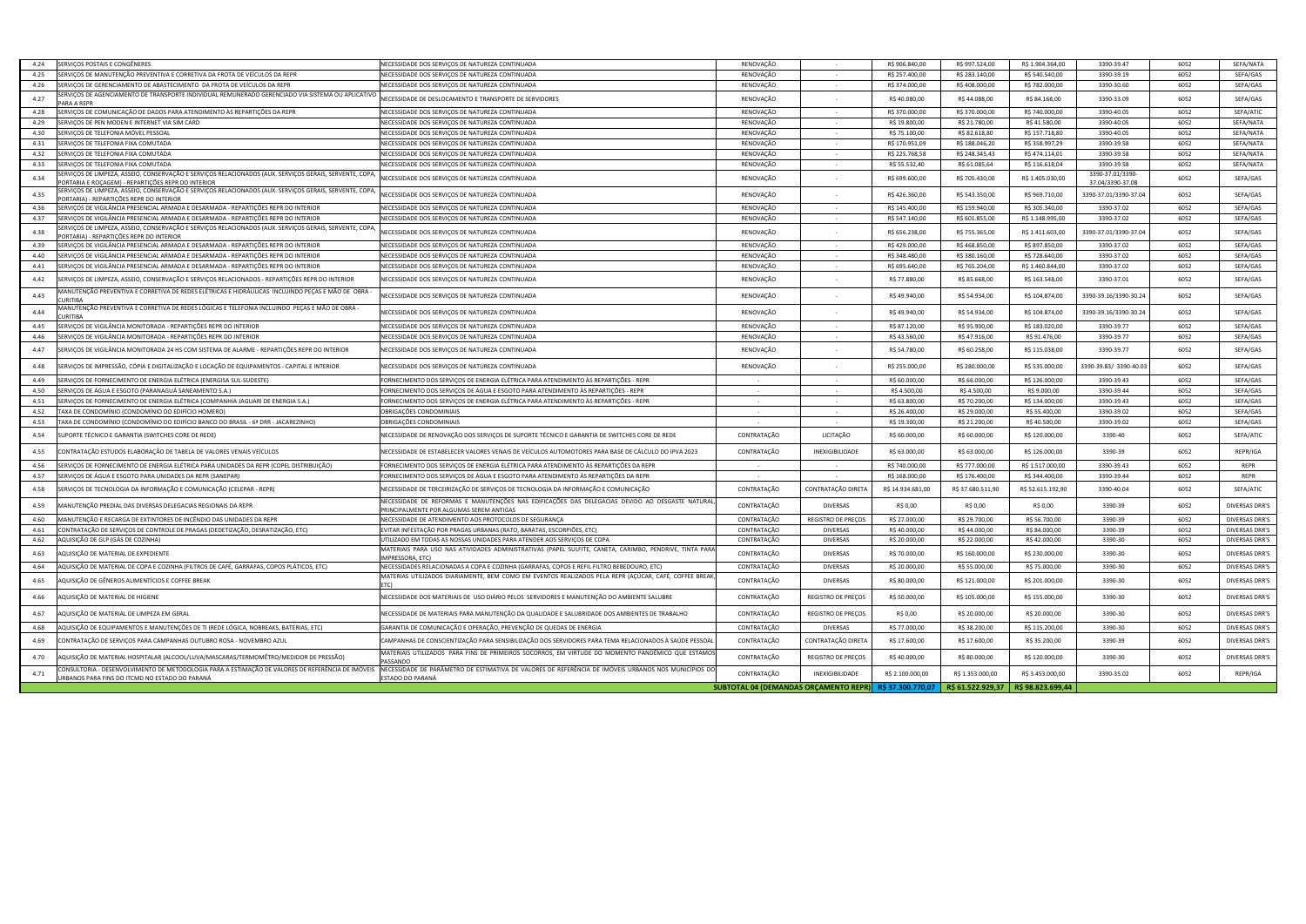| SERVIÇOS POSTAIS E CONGÊNERES<br>4.24                                                                                                                              | NECESSIDADE DOS SERVIÇOS DE NATUREZA CONTINUADA                                                                                                                                                                            | RENOVAÇÃO                                               |                           | R\$ 906.840,00    | R\$ 997.524,00                                      | R\$ 1.904.364,00  | 3390-39.47                           | 6052 | SEFA/NATA             |
|--------------------------------------------------------------------------------------------------------------------------------------------------------------------|----------------------------------------------------------------------------------------------------------------------------------------------------------------------------------------------------------------------------|---------------------------------------------------------|---------------------------|-------------------|-----------------------------------------------------|-------------------|--------------------------------------|------|-----------------------|
| ERVIÇOS DE MANUTENÇÃO PREVENTIVA E CORRETIVA DA FROTA DE VEÍCULOS DA REPR<br>4.25                                                                                  | NECESSIDADE DOS SERVIÇOS DE NATUREZA CONTINUADA                                                                                                                                                                            | RENOVAÇÃO                                               | $\sim$                    | R\$ 257.400,00    | R\$ 283.140,00                                      | R\$ 540.540,00    | 3390-39.19                           | 6052 | SEFA/GAS              |
| 4.26<br>ERVIÇOS DE GERENCIAMENTO DE ABASTECIMENTO  DA FROTA DE VEÍCULOS DA REPR                                                                                    | NECESSIDADE DOS SERVIÇOS DE NATUREZA CONTINUADA                                                                                                                                                                            | RENOVAÇÃO                                               | $\sim$                    | R\$ 374.000,00    | R\$408.000,00                                       | R\$ 782.000,00    | 3390-30.60                           | 6052 | SEFA/GAS              |
| ERVIÇOS DE AGENCIAMENTO DE TRANSPORTE INDIVIDUAL REMUNERADO GERENCIADO VIA SISTEMA OU APLICATIVO<br>4.27<br>ARA A REPR                                             | NECESSIDADE DE DESLOCAMENTO E TRANSPORTE DE SERVIDORES                                                                                                                                                                     | RENOVAÇÃO                                               |                           | R\$40.080,00      | R\$44.088,00                                        | R\$ 84.168,00     | 3390-33.09                           | 6052 | SEFA/GAS              |
| 4.28<br>ERVIÇOS DE COMUNICAÇÃO DE DADOS PARA ATENDIMENTO ÀS REPARTIÇÕES DA REPR                                                                                    | NECESSIDADE DOS SERVIÇOS DE NATUREZA CONTINUADA                                                                                                                                                                            | RENOVAÇÃO                                               | $\sim$                    | R\$ 370.000,00    | R\$ 370.000,00                                      | R\$ 740.000,00    | 3390-40.05                           | 6052 | SEFA/ATIC             |
| 4.29<br>ERVIÇOS DE PEN MODEN E INTERNET VIA SIM CARD                                                                                                               | NECESSIDADE DOS SERVIÇOS DE NATUREZA CONTINUADA                                                                                                                                                                            | RENOVAÇÃO                                               | $\sim$                    | R\$ 19.800,00     | R\$ 21.780,00                                       | R\$41.580,00      | 3390-40.05                           | 6052 | SEFA/NATA             |
| 4.30<br>ERVIÇOS DE TELEFONIA MÓVEL PESSOAL                                                                                                                         | NECESSIDADE DOS SERVIÇOS DE NATUREZA CONTINUADA                                                                                                                                                                            | RENOVAÇÃO                                               | $\sim$                    | R\$ 75.100,00     | R\$ 82.618,80                                       | R\$ 157.718,80    | 3390-40.05                           | 6052 | SEFA/NATA             |
| 4.31<br>ERVIÇOS DE TELEFONIA FIXA COMUTADA                                                                                                                         | NECESSIDADE DOS SERVIÇOS DE NATUREZA CONTINUADA                                                                                                                                                                            | RENOVAÇÃO                                               | $\sim$                    | R\$ 170.951,09    | R\$ 188.046,20                                      | R\$ 358.997,29    | 3390-39.58                           | 6052 | SEFA/NATA             |
| 4.32<br>ERVIÇOS DE TELEFONIA FIXA COMUTADA                                                                                                                         | NECESSIDADE DOS SERVIÇOS DE NATUREZA CONTINUADA                                                                                                                                                                            | RENOVAÇÃO                                               | $\sim$                    | R\$ 225.768,58    | R\$ 248.345,43                                      | R\$ 474.114,01    | 3390-39.58                           | 6052 | SEFA/NATA             |
| 4.33<br>ERVIÇOS DE TELEFONIA FIXA COMUTADA                                                                                                                         | NECESSIDADE DOS SERVIÇOS DE NATUREZA CONTINUADA                                                                                                                                                                            | RENOVAÇÃO                                               | $\sim$                    | R\$ 55.532,40     | R\$ 61.085,64                                       | R\$ 116.618,04    | 3390-39.58                           | 6052 | SEFA/NATA             |
| ERVIÇOS DE LIMPEZA, ASSEIO, CONSERVAÇÃO E SERVIÇOS RELACIONADOS (AUX. SERVIÇOS GERAIS, SERVENTE, COPA<br>4.34<br>ORTARIA E ROÇAGEM) - REPARTIÇÕES REPR DO INTERIOR | NECESSIDADE DOS SERVIÇOS DE NATUREZA CONTINUADA                                                                                                                                                                            | RENOVAÇÃO                                               |                           | R\$ 699.600,00    | R\$ 705.430,00                                      | R\$ 1.405.030,00  | 3390-37.01/3390-<br>37.04/3390-37.08 | 6052 | SEFA/GAS              |
| ERVIÇOS DE LIMPEZA, ASSEIO, CONSERVAÇÃO E SERVIÇOS RELACIONADOS (AUX. SERVIÇOS GERAIS, SERVENTE, COPA<br>4.35<br>PORTARIA) - REPARTIÇÕES REPR DO INTERIOR          | NECESSIDADE DOS SERVIÇOS DE NATUREZA CONTINUADA                                                                                                                                                                            | RENOVAÇÃO                                               |                           | R\$426.360,00     | R\$ 543.350,00                                      | R\$ 969.710,00    | 3390-37.01/3390-37.04                | 6052 | SEFA/GAS              |
| SERVIÇOS DE VIGILÂNCIA PRESENCIAL ARMADA E DESARMADA - REPARTIÇÕES REPR DO INTERIOR<br>4.36                                                                        | NECESSIDADE DOS SERVIÇOS DE NATUREZA CONTINUADA                                                                                                                                                                            | RENOVAÇÃO                                               |                           | R\$ 145.400,00    | R\$ 159.940,00                                      | R\$ 305.340,00    | 3390-37.02                           | 6052 | SEFA/GAS              |
| 4.37<br>ERVIÇOS DE VIGILÂNCIA PRESENCIAL ARMADA E DESARMADA - REPARTIÇÕES REPR DO INTERIOR                                                                         | NECESSIDADE DOS SERVIÇOS DE NATUREZA CONTINUADA                                                                                                                                                                            | RENOVAÇÃO                                               | $\sim$                    | R\$ 547.140,00    | R\$ 601.855,00                                      | R\$ 1.148.995,00  | 3390-37.02                           | 6052 | SEFA/GAS              |
| ERVIÇOS DE LIMPEZA, ASSEIO, CONSERVAÇÃO E SERVIÇOS RELACIONADOS (AUX. SERVIÇOS GERAIS, SERVENTE, COPA<br>4.38<br>ORTARIA) - REPARTIÇÕES REPR DO INTERIOR           | NECESSIDADE DOS SERVIÇOS DE NATUREZA CONTINUADA                                                                                                                                                                            | RENOVAÇÃO                                               |                           | R\$ 656.238,00    | R\$ 755.365,00                                      | R\$ 1.411.603,00  | 3390-37.01/3390-37.04                | 6052 | SEFA/GAS              |
| ERVIÇOS DE VIGILÂNCIA PRESENCIAL ARMADA E DESARMADA - REPARTIÇÕES REPR DO INTERIOR<br>4.39                                                                         | NECESSIDADE DOS SERVIÇOS DE NATUREZA CONTINUADA                                                                                                                                                                            | RENOVAÇÃO                                               | $\sim$                    | R\$429.000,00     | R\$468.850,00                                       | R\$ 897.850,00    | 3390-37.02                           | 6052 | SEFA/GAS              |
| 4.40<br>ERVIÇOS DE VIGILÂNCIA PRESENCIAL ARMADA E DESARMADA - REPARTIÇÕES REPR DO INTERIOR                                                                         | NECESSIDADE DOS SERVIÇOS DE NATUREZA CONTINUADA                                                                                                                                                                            | RENOVAÇÃO                                               | $\sim$                    | R\$ 348.480,00    | R\$ 380.160,00                                      | R\$ 728.640,00    | 3390-37.02                           | 6052 | SEFA/GAS              |
| ERVIÇOS DE VIGILÂNCIA PRESENCIAL ARMADA E DESARMADA - REPARTIÇÕES REPR DO INTERIOR<br>4.41                                                                         | NECESSIDADE DOS SERVIÇOS DE NATUREZA CONTINUADA                                                                                                                                                                            | RENOVAÇÃO                                               | $\sim$                    | R\$ 695.640,00    | R\$ 765.204,00                                      | R\$ 1.460.844,00  | 3390-37.02                           | 6052 | SEFA/GAS              |
| 4.42<br>ERVIÇOS DE LIMPEZA, ASSEIO, CONSERVAÇÃO E SERVIÇOS RELACIONADOS - REPARTIÇÕES REPR DO INTERIOR                                                             | NECESSIDADE DOS SERVIÇOS DE NATUREZA CONTINUADA                                                                                                                                                                            | RENOVAÇÃO                                               |                           | R\$ 77.880,00     | R\$ 85.668,00                                       | R\$ 163.548,00    | 3390-37.01                           | 6052 | SEFA/GAS              |
| MANUTENÇÃO PREVENTIVA E CORRETIVA DE REDES ELÉTRICAS E HIDRÁULICAS  INCLUINDO PEÇAS E MÃO DE  OBRA<br>4.43                                                         | NECESSIDADE DOS SERVIÇOS DE NATUREZA CONTINUADA                                                                                                                                                                            | RENOVAÇÃO                                               |                           | R\$ 49.940,00     | R\$ 54.934,00                                       | R\$ 104.874,00    | 3390-39.16/3390-30.24                | 6052 | SEFA/GAS              |
| - MANUTENÇÃO PREVENTIVA E CORRETIVA DE REDES LÓGICAS E TELEFONIA INCLUINDO  PEÇAS E MÃO DE OBRA<br>4.44<br>URITIBA                                                 | NECESSIDADE DOS SERVIÇOS DE NATUREZA CONTINUADA                                                                                                                                                                            | RENOVAÇÃO                                               |                           | R\$49.940,00      | R\$ 54.934,00                                       | R\$ 104.874,00    | 3390-39.16/3390-30.24                | 6052 | SEFA/GAS              |
| ERVIÇOS DE VIGILÂNCIA MONITORADA - REPARTIÇÕES REPR DO INTERIOR<br>4.45                                                                                            | NECESSIDADE DOS SERVIÇOS DE NATUREZA CONTINUADA                                                                                                                                                                            | RENOVAÇÃO                                               |                           | R\$ 87.120,00     | R\$ 95.900,00                                       | R\$ 183.020,00    | 3390-39.77                           | 6052 | SEFA/GAS              |
| 4.46<br>ERVIÇOS DE VIGILÂNCIA MONITORADA - REPARTIÇÕES REPR DO INTERIOF                                                                                            | NECESSIDADE DOS SERVIÇOS DE NATUREZA CONTINUADA                                                                                                                                                                            | RENOVAÇÃO                                               | $\sim$                    | R\$43.560,00      | R\$47.916,00                                        | R\$ 91.476,00     | 3390-39.77                           | 6052 | SEFA/GAS              |
| 4.47<br>ERVIÇOS DE VIGILÂNCIA MONITORADA 24 HS COM SISTEMA DE ALARME - REPARTIÇÕES REPR DO INTERIOR                                                                | NECESSIDADE DOS SERVIÇOS DE NATUREZA CONTINUADA                                                                                                                                                                            | RENOVAÇÃO                                               |                           | R\$ 54.780,00     | R\$ 60.258,00                                       | R\$ 115.038,00    | 3390-39.77                           | 6052 | SEFA/GAS              |
| ERVIÇOS DE IMPRESSÃO, CÓPIA E DIGITALIZAÇÃO E LOCAÇÃO DE EQUIPAMENTOS - CAPITAL E INTERIOR<br>4.48                                                                 | NECESSIDADE DOS SERVIÇOS DE NATUREZA CONTINUADA                                                                                                                                                                            | RENOVAÇÃO                                               |                           | R\$ 255.000,00    | R\$ 280.000,00                                      | R\$ 535.000,00    | 3390-39.83/ 3390-40.03               | 6052 | SEFA/GAS              |
| 4.49<br>ERVIÇOS DE FORNECIMENTO DE ENERGIA ELÉTRICA (ENERGISA SUL-SUDESTE)                                                                                         | FORNECIMENTO DOS SERVIÇOS DE ENERGIA ELÉTRICA PARA ATENDIMENTO ÀS REPARTIÇÕES - REPR                                                                                                                                       |                                                         |                           | R\$ 60.000,00     | R\$ 66.000,00                                       | R\$ 126.000,00    | 3390-39.43                           | 6052 | SEFA/GAS              |
| 4.50<br>ERVIÇOS DE ÁGUA E ESGOTO (PARANAGUÁ SANEAMENTO S.A.)                                                                                                       | FORNECIMENTO DOS SERVIÇOS DE ÁGUA E ESGOTO PARA ATENDIMENTO ÀS REPARTIÇÕES - REPR                                                                                                                                          | $\sim$                                                  | $\sim 10^{-1}$            | R\$ 4.500,00      | R\$4.500,00                                         | R\$ 9.000,00      | 3390-39.44                           | 6052 | SEFA/GAS              |
| 4.51<br>ERVIÇOS DE FORNECIMENTO DE ENERGIA ELÉTRICA (COMPANHIA JAGUARI DE ENERGIA S.A.)                                                                            | FORNECIMENTO DOS SERVIÇOS DE ENERGIA ELÉTRICA PARA ATENDIMENTO ÀS REPARTIÇÕES - REPR                                                                                                                                       | $\sim$                                                  | $\sim$                    | R\$ 63.800,00     | R\$ 70.200,00                                       | R\$ 134.000,00    | 3390-39.43                           | 6052 | SEFA/GAS              |
| 4.52<br>'AXA DE CONDOMÍNIO (CONDOMÍNIO DO EDIFÍCIO HOMERO)                                                                                                         | DBRIGAÇÕES CONDOMINIAIS                                                                                                                                                                                                    | $\sim$                                                  | $\sim$                    | R\$ 26.400,00     | R\$ 29.000,00                                       | R\$ 55.400,00     | 3390-39.02                           | 6052 | SEFA/GAS              |
| 4.53<br>AXA DE CONDOMÍNIO (CONDOMÍNIO DO EDIFÍCIO BANCO DO BRASIL - 6ª DRR - JACAREZINHO)                                                                          | OBRIGAÇÕES CONDOMINIAIS                                                                                                                                                                                                    |                                                         | $\sim$                    | R\$ 19.300,00     | R\$ 21.200,00                                       | R\$40.500,00      | 3390-39.02                           | 6052 | SEFA/GAS              |
| 4.54<br>JPORTE TÉCNICO E GARANTIA (SWITCHES CORE DE REDE)                                                                                                          | NECESSIDADE DE RENOVAÇÃO DOS SERVIÇOS DE SUPORTE TÉCNICO E GARANTIA DE SWITCHES CORE DE REDE                                                                                                                               | CONTRATAÇÃO                                             | LICITAÇÃO                 | R\$ 60.000,00     | R\$ 60.000,00                                       | R\$ 120.000,00    | 3390-40                              | 6052 | SEFA/ATIC             |
| ONTRATAÇÃO ESTUDOS ELABORAÇÃO DE TABELA DE VALORES VENAIS VEÍCULOS<br>4.55                                                                                         | NECESSIDADE DE ESTABELECER VALORES VENAIS DE VEÍCULOS AUTOMOTORES PARA BASE DE CÁLCULO DO IPVA 2023                                                                                                                        | CONTRATAÇÃO                                             | INEXIGIBILIDADE           | R\$ 63.000,00     | R\$ 63.000,00                                       | R\$ 126.000,00    | 3390-39                              | 6052 | REPR/IGA              |
| 4.56<br>ERVIÇOS DE FORNECIMENTO DE ENERGIA ELÉTRICA PARA UNIDADES DA REPR (COPEL DISTRIBUIÇÃO)                                                                     | FORNECIMENTO DOS SERVIÇOS DE ENERGIA ELÉTRICA PARA ATENDIMENTO ÀS REPARTIÇÕES DA REPR                                                                                                                                      |                                                         |                           | R\$ 740.000,00    | R\$ 777.000,00                                      | R\$ 1.517.000,00  | 3390-39.43                           | 6052 | REPR                  |
| 4.57<br>ERVIÇOS DE ÁGUA E ESGOTO PARA UNIDADES DA REPR (SANEPAR)                                                                                                   | FORNECIMENTO DOS SERVIÇOS DE ÁGUA E ESGOTO PARA ATENDIMENTO ÀS REPARTIÇÕES DA REPR                                                                                                                                         | $\sim$                                                  | $\sim$                    | R\$ 168.000,00    | R\$ 176.400,00                                      | R\$ 344.400,00    | 3390-39.44                           | 6052 | REPR                  |
| ERVIÇOS DE TECNOLOGIA DA INFORMAÇÃO E COMUNICAÇÃO (CELEPAR - REPR)<br>4.58                                                                                         | NECESSIDADE DE TERCEIRIZAÇÃO DE SERVIÇOS DE TECNOLOGIA DA INFORMAÇÃO E COMUNICAÇÃO                                                                                                                                         | CONTRATAÇÃO                                             | CONTRATAÇÃO DIRET.        | R\$ 14.934.681,00 | R\$ 37.680.511,90                                   | R\$ 52.615.192,90 | 3390-40.04                           | 6052 | SEFA/ATIC             |
| 4.59<br>MANUTENÇÃO PREDIAL DAS DIVERSAS DELEGACIAS REGIONAIS DA REPR                                                                                               | NECESSIDADE DE REFORMAS E MANUTENÇÕES NAS EDIFICAÇÕES DAS DELEGACIAS DEVIDO AO DESGASTE NATURAL<br>PRINCIPALMENTE POR ALGUMAS SEREM ANTIGAS                                                                                | CONTRATAÇÃO                                             | DIVERSAS                  | R\$ 0,00          | R\$ 0,00                                            | R\$ 0,00          | 3390-39                              | 6052 | DIVERSAS DRR'S        |
| MANUTENÇÃO E RECARGA DE EXTINTORES DE INCÊNDIO DAS UNIDADES DA REPR<br>4.60                                                                                        | NECESSIDADE DE ATENDIMENTO AOS PROTOCOLOS DE SEGURANÇA                                                                                                                                                                     | CONTRATAÇÃO                                             | <b>REGISTRO DE PREÇOS</b> | R\$ 27.000,00     | R\$ 29.700,00                                       | R\$ 56.700,00     | 3390-39                              | 6052 | DIVERSAS DRR'S        |
| CONTRATAÇÃO DE SERVIÇOS DE CONTROLE DE PRAGAS (DEDETIZAÇÃO, DESRATIZAÇÃO, ETC)<br>4.61                                                                             | EVITAR INFESTAÇÃO POR PRAGAS URBANAS (RATO, BARATAS, ESCORPIÕES, ETC)                                                                                                                                                      | CONTRATAÇÃO                                             | <b>DIVERSAS</b>           | R\$40.000,00      | R\$44.000,00                                        | R\$ 84.000,00     | 3390-39                              | 6052 | DIVERSAS DRR'S        |
| 4.62<br>AQUISIÇÃO DE GLP (GÁS DE COZINHA)                                                                                                                          | UTILIZADO EM TODAS AS NOSSAS UNIDADES PARA ATENDER AOS SERVIÇOS DE COPA                                                                                                                                                    | CONTRATAÇÃO                                             | <b>DIVERSAS</b>           | R\$ 20.000,00     | R\$ 22.000,00                                       | R\$42.000,00      | 3390-30                              | 6052 | DIVERSAS DRR'S        |
| 4.63<br>AQUISIÇÃO DE MATERIAL DE EXPEDIENTE                                                                                                                        | MATERIAIS PARA USO NAS ATIVIDADES ADMINISTRATIVAS (PAPEL SULFITE, CANETA, CARIMBO, PENDRIVE, TINTA PARA<br>MPRESSORA, ETC)                                                                                                 | CONTRATAÇÃO                                             | <b>DIVERSAS</b>           | R\$ 70.000,00     | R\$ 160.000,00                                      | R\$ 230.000,00    | 3390-30                              | 6052 | DIVERSAS DRR'S        |
| AQUISIÇÃO DE MATERIAL DE COPA E COZINHA (FILTROS DE CAFÉ, GARRAFAS, COPOS PLÁTICOS, ETC)<br>4.64                                                                   | NECESSIDADES RELACIONADAS A COPA E COZINHA (GARRAFAS, COPOS E REFIL FILTRO BEBEDOURO, ETC)                                                                                                                                 | CONTRATAÇÃO                                             | <b>DIVERSAS</b>           | R\$ 20.000,00     | R\$ 55.000,00                                       | R\$ 75.000,00     | 3390-30                              | 6052 | <b>DIVERSAS DRR'S</b> |
| 4.65<br>AQUISIÇÃO DE GÊNEROS ALIMENTÍCIOS E COFFEE BREAK                                                                                                           | MATERIAS UTILIZADOS DIARIAMENTE, BEM COMO EM EVENTOS REALIZADOS PELA REPR (AÇÚCAR, CAFÉ, COFFEE BREAK,                                                                                                                     | CONTRATAÇÃO                                             | <b>DIVERSAS</b>           | R\$ 80.000,00     | R\$ 121.000,00                                      | R\$ 201.000,00    | 3390-30                              | 6052 | DIVERSAS DRR'S        |
| 4.66<br>AQUISIÇÃO DE MATERIAL DE HIGIENE                                                                                                                           | NECESSIDADE DOS MATERIAIS DE  USO DIÁRIO PELOS  SERVIDORES E MANUTENÇÃO DO AMBIENTE SALUBRE                                                                                                                                | CONTRATAÇÃO                                             | REGISTRO DE PREÇOS        | R\$ 50.000,00     | R\$ 105.000,00                                      | R\$ 155.000,00    | 3390-30                              | 6052 | DIVERSAS DRR'S        |
| 4.67<br>AQUISIÇÃO DE MATERIAL DE LIMPEZA EM GERAL                                                                                                                  | NECESSIDADE DE MATERIAIS PARA MANUTENÇÃO DA QUALIDADE E SALUBRIDADE DOS AMBIENTES DE TRABALHO                                                                                                                              | CONTRATAÇÃO                                             | REGISTRO DE PREÇOS        | R\$ 0,00          | R\$ 20.000,00                                       | R\$ 20.000,00     | 3390-30                              | 6052 | DIVERSAS DRR'S        |
| 4.68<br>AQUISIÇÃO DE EQUIPAMENTOS E MANUTENÇÕES DE TI (REDE LÓGICA, NOBREAKS, BATERIAS, ETC)                                                                       | GARANTIA DE COMUNICAÇÃO E OPERAÇÃO, PREVENÇÃO DE QUEDAS DE ENERGIA                                                                                                                                                         | CONTRATAÇÃO                                             | DIVERSAS                  | R\$ 77.000,00     | R\$ 38.200,00                                       | R\$ 115.200,00    | 3390-30                              | 6052 | DIVERSAS DRR'S        |
| 4.69<br>CONTRATAÇÃO DE SERVIÇOS PARA CAMPANHAS OUTUBRO ROSA - NOVEMBRO AZUL                                                                                        | CAMPANHAS DE CONSCIENTIZAÇÃO PARA SENSIBILIZAÇÃO DOS SERVIDORES PARA TEMA RELACIONADOS À SAÚDE PESSOAI                                                                                                                     | CONTRATAÇÃO                                             | CONTRATAÇÃO DIRETA        | R\$ 17.600,00     | R\$ 17.600,00                                       | R\$ 35.200,00     | 3390-39                              | 6052 | DIVERSAS DRR'S        |
| AQUISIÇÃO DE MATERIAL HOSPITALAR (ALCOOL/LUVA/MASCARAS/TERMOMÊTRO/MEDIDOR DE PRESSÃO)<br>4.70                                                                      | MATERIAIS UTILIZADOS PARA FINS DE PRIMEIROS SOCORROS, EM VIRTUDE DO MOMENTO PANDÊMICO QUE ESTAMOS<br>PASSANDO                                                                                                              | CONTRATAÇÃO                                             | REGISTRO DE PREÇOS        | R\$40.000,00      | R\$ 80.000,00                                       | R\$ 120.000,00    | 3390-30                              | 6052 | DIVERSAS DRR'S        |
| 4.71<br>JRBANOS PARA FINS DO ITCMD NO ESTADO DO PARANÁ                                                                                                             | CONSULTORIA - DESENVOLVIMENTO DE METODOLOGIA PARA A ESTIMAÇÃO DE VALORES DE REFERÊNCIA DE IMÓVEIS NECESSIDADE DE PARÂMETRO DE ESTIMATIVA DE VALORES DE REFERÊNCIA DE IMÓVEIS URBANOS NOS MUNICÍPIOS DO<br>ESTADO DO PARANÁ | CONTRATAÇÃO                                             | INEXIGIBILIDADE           | R\$ 2.100.000,00  | R\$ 1.353.000,00                                    | R\$ 3.453.000,00  | 3390-35.02                           | 6052 | REPR/IGA              |
|                                                                                                                                                                    |                                                                                                                                                                                                                            | SUBTOTAL 04 (DEMANDAS ORCAMENTO REPR) R\$ 37.300.770.07 |                           |                   | $\vert$ R\$ 61.522.929,37 $\vert$ R\$ 98.823.699,44 |                   |                                      |      |                       |